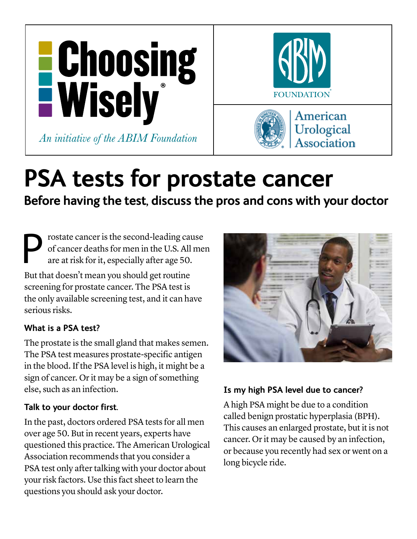

# **PSA tests for prostate cancer**

**Before having the test, discuss the pros and cons with your doctor** 

Prostate cancer is the second-leading cause<br>of cancer deaths for men in the U.S. All me<br>are at risk for it, especially after age 50. of cancer deaths for men in the U.S. All men are at risk for it, especially after age 50.

But that doesn't mean you should get routine screening for prostate cancer. The PSA test is the only available screening test, and it can have serious risks.

## **What is a PSA test?**

The prostate is the small gland that makes semen. The PSA test measures prostate-specific antigen in the blood. If the PSA level is high, it might be a sign of cancer. Or it may be a sign of something else, such as an infection.

# **Talk to your doctor first.**

In the past, doctors ordered PSA tests for all men over age 50. But in recent years, experts have questioned this practice. The American Urological Association recommends that you consider a PSA test only after talking with your doctor about your risk factors. Use this fact sheet to learn the questions you should ask your doctor.



# **Is my high PSA level due to cancer?**

A high PSA might be due to a condition called benign prostatic hyperplasia (BPH). This causes an enlarged prostate, but it is not cancer. Or it may be caused by an infection, or because you recently had sex or went on a long bicycle ride.